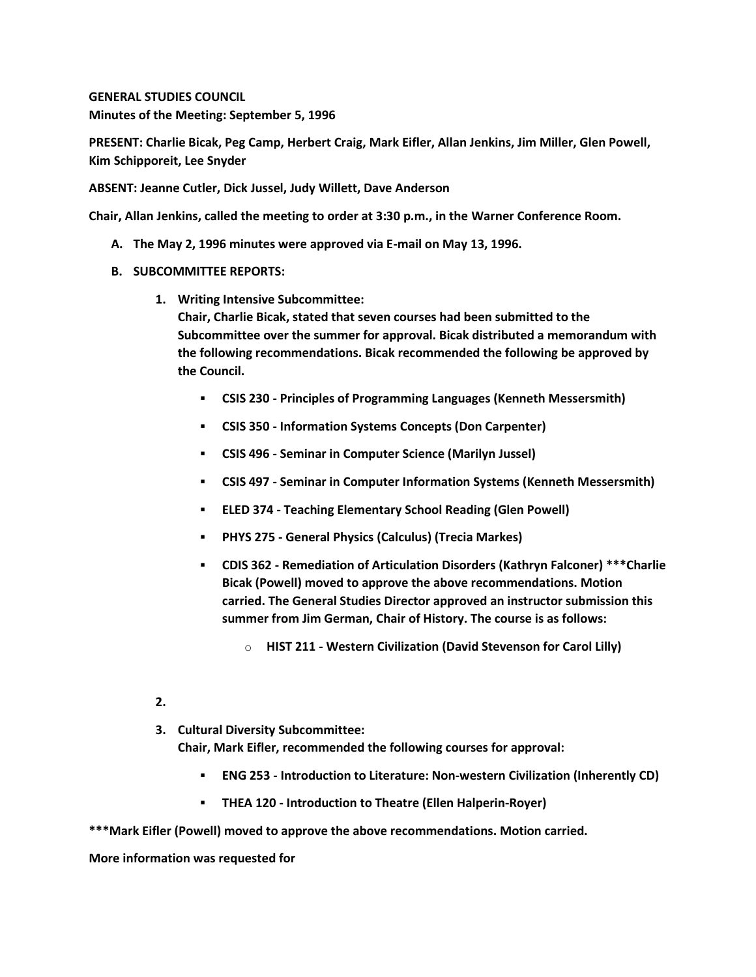**GENERAL STUDIES COUNCIL Minutes of the Meeting: September 5, 1996**

**PRESENT: Charlie Bicak, Peg Camp, Herbert Craig, Mark Eifler, Allan Jenkins, Jim Miller, Glen Powell, Kim Schipporeit, Lee Snyder**

**ABSENT: Jeanne Cutler, Dick Jussel, Judy Willett, Dave Anderson**

**Chair, Allan Jenkins, called the meeting to order at 3:30 p.m., in the Warner Conference Room.**

- **A. The May 2, 1996 minutes were approved via E-mail on May 13, 1996.**
- **B. SUBCOMMITTEE REPORTS:** 
	- **1. Writing Intensive Subcommittee:**

**Chair, Charlie Bicak, stated that seven courses had been submitted to the Subcommittee over the summer for approval. Bicak distributed a memorandum with the following recommendations. Bicak recommended the following be approved by the Council.** 

- **CSIS 230 - Principles of Programming Languages (Kenneth Messersmith)**
- **CSIS 350 - Information Systems Concepts (Don Carpenter)**
- **CSIS 496 - Seminar in Computer Science (Marilyn Jussel)**
- **CSIS 497 - Seminar in Computer Information Systems (Kenneth Messersmith)**
- **ELED 374 - Teaching Elementary School Reading (Glen Powell)**
- **PHYS 275 - General Physics (Calculus) (Trecia Markes)**
- **CDIS 362 - Remediation of Articulation Disorders (Kathryn Falconer) \*\*\*Charlie Bicak (Powell) moved to approve the above recommendations. Motion carried. The General Studies Director approved an instructor submission this summer from Jim German, Chair of History. The course is as follows:** 
	- o **HIST 211 - Western Civilization (David Stevenson for Carol Lilly)**

#### **2.**

- **3. Cultural Diversity Subcommittee: Chair, Mark Eifler, recommended the following courses for approval:** 
	- **ENG 253 - Introduction to Literature: Non-western Civilization (Inherently CD)**
	- **THEA 120 - Introduction to Theatre (Ellen Halperin-Royer)**

**\*\*\*Mark Eifler (Powell) moved to approve the above recommendations. Motion carried.** 

**More information was requested for**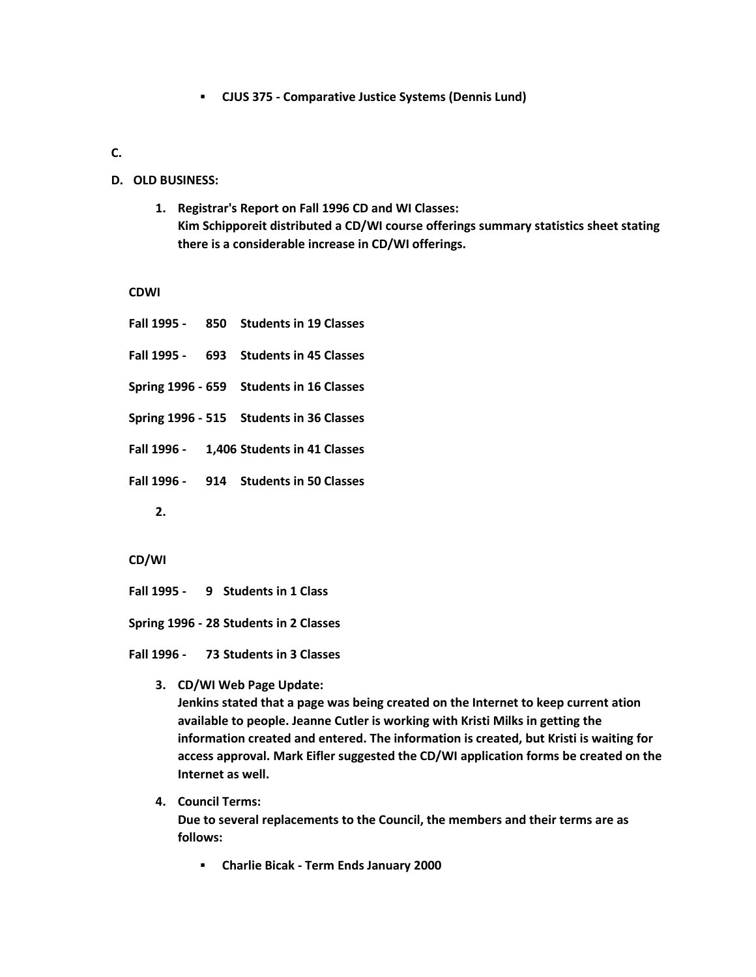**CJUS 375 - Comparative Justice Systems (Dennis Lund)**

# **C.**

### **D. OLD BUSINESS:**

**1. Registrar's Report on Fall 1996 CD and WI Classes: Kim Schipporeit distributed a CD/WI course offerings summary statistics sheet stating there is a considerable increase in CD/WI offerings.**

**CDWI**

| Fall 1995 - 850 Students in 19 Classes   |  |  |
|------------------------------------------|--|--|
| Fall 1995 - 693 Students in 45 Classes   |  |  |
| Spring 1996 - 659 Students in 16 Classes |  |  |
| Spring 1996 - 515 Students in 36 Classes |  |  |
| Fall 1996 - 1,406 Students in 41 Classes |  |  |
| Fall 1996 - 914 Students in 50 Classes   |  |  |
| $\mathbf{2}$ .                           |  |  |

**CD/WI**

**Fall 1995 - 9 Students in 1 Class**

**Spring 1996 - 28 Students in 2 Classes**

**Fall 1996 - 73 Students in 3 Classes**

- **3. CD/WI Web Page Update: Jenkins stated that a page was being created on the Internet to keep current ation available to people. Jeanne Cutler is working with Kristi Milks in getting the information created and entered. The information is created, but Kristi is waiting for access approval. Mark Eifler suggested the CD/WI application forms be created on the Internet as well.**
- **4. Council Terms: Due to several replacements to the Council, the members and their terms are as follows:** 
	- **Charlie Bicak - Term Ends January 2000**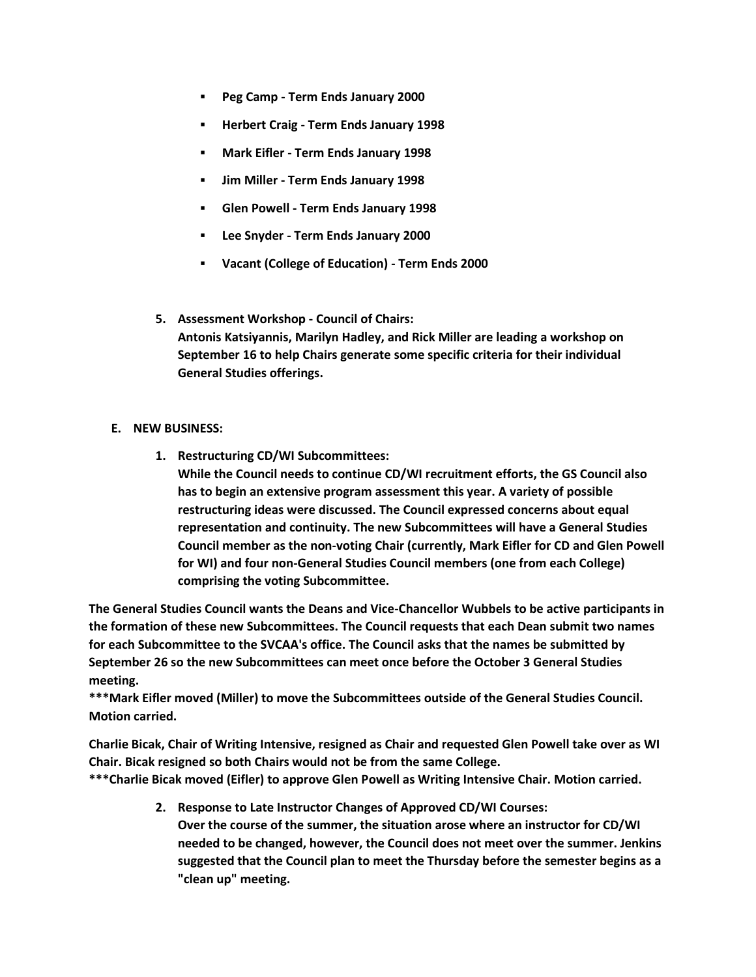- **Peg Camp - Term Ends January 2000**
- **Herbert Craig - Term Ends January 1998**
- **Mark Eifler - Term Ends January 1998**
- **Jim Miller - Term Ends January 1998**
- **Glen Powell - Term Ends January 1998**
- **Lee Snyder - Term Ends January 2000**
- **Vacant (College of Education) - Term Ends 2000**
- **5. Assessment Workshop - Council of Chairs: Antonis Katsiyannis, Marilyn Hadley, and Rick Miller are leading a workshop on September 16 to help Chairs generate some specific criteria for their individual General Studies offerings.**

## **E. NEW BUSINESS:**

**1. Restructuring CD/WI Subcommittees:**

**While the Council needs to continue CD/WI recruitment efforts, the GS Council also has to begin an extensive program assessment this year. A variety of possible restructuring ideas were discussed. The Council expressed concerns about equal representation and continuity. The new Subcommittees will have a General Studies Council member as the non-voting Chair (currently, Mark Eifler for CD and Glen Powell for WI) and four non-General Studies Council members (one from each College) comprising the voting Subcommittee.** 

**The General Studies Council wants the Deans and Vice-Chancellor Wubbels to be active participants in the formation of these new Subcommittees. The Council requests that each Dean submit two names for each Subcommittee to the SVCAA's office. The Council asks that the names be submitted by September 26 so the new Subcommittees can meet once before the October 3 General Studies meeting.**

**\*\*\*Mark Eifler moved (Miller) to move the Subcommittees outside of the General Studies Council. Motion carried.**

**Charlie Bicak, Chair of Writing Intensive, resigned as Chair and requested Glen Powell take over as WI Chair. Bicak resigned so both Chairs would not be from the same College.**

**\*\*\*Charlie Bicak moved (Eifler) to approve Glen Powell as Writing Intensive Chair. Motion carried.**

**2. Response to Late Instructor Changes of Approved CD/WI Courses: Over the course of the summer, the situation arose where an instructor for CD/WI needed to be changed, however, the Council does not meet over the summer. Jenkins suggested that the Council plan to meet the Thursday before the semester begins as a "clean up" meeting.**